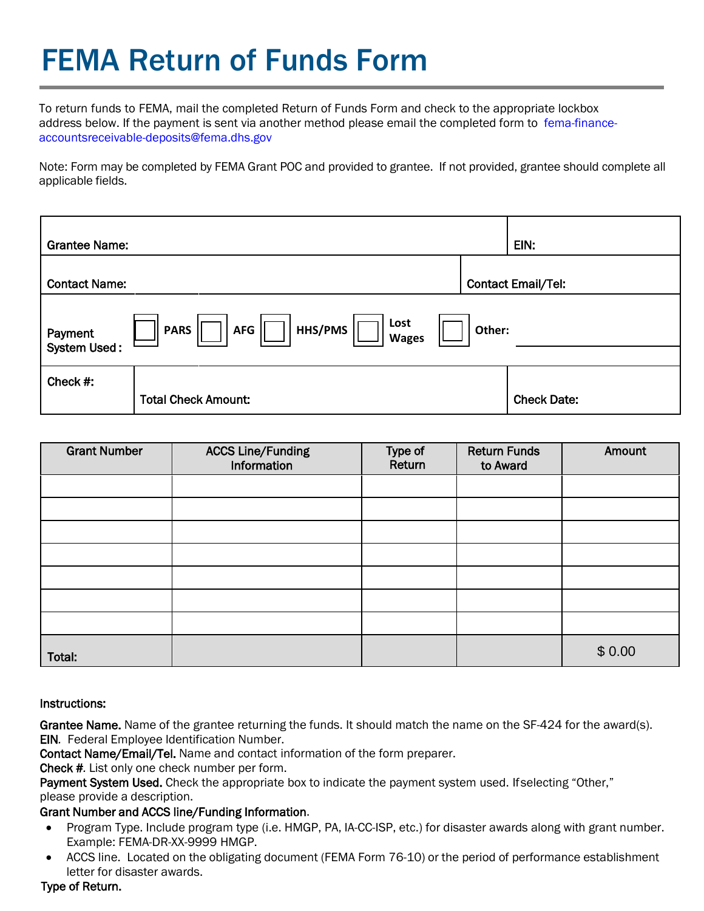# FEMA Return of Funds Form

To return funds to FEMA, mail the completed Return of Funds Form and check to the appropriate lockbox address below. [If the payment is sent via another method please email the completed form to](mailto:fema-finance-accountsreceivable-deposits@fema.dhs.gov) fema-financeaccountsreceivable-deposits@fema.dhs.gov

Note: Form may be completed by FEMA Grant POC and provided to grantee. If not provided, grantee should complete all applicable fields.

| <b>Grantee Name:</b>                                                                                     |                            |  | EIN:                      |  |
|----------------------------------------------------------------------------------------------------------|----------------------------|--|---------------------------|--|
| <b>Contact Name:</b>                                                                                     |                            |  | <b>Contact Email/Tel:</b> |  |
| Lost<br>HHS/PMS<br><b>PARS</b><br><b>AFG</b><br>Other:<br>Payment<br><b>Wages</b><br><b>System Used:</b> |                            |  |                           |  |
| Check #:                                                                                                 | <b>Total Check Amount:</b> |  | <b>Check Date:</b>        |  |

| <b>Grant Number</b> | <b>ACCS Line/Funding</b><br>Information | Type of<br>Return | <b>Return Funds</b><br>to Award | Amount |
|---------------------|-----------------------------------------|-------------------|---------------------------------|--------|
|                     |                                         |                   |                                 |        |
|                     |                                         |                   |                                 |        |
|                     |                                         |                   |                                 |        |
|                     |                                         |                   |                                 |        |
|                     |                                         |                   |                                 |        |
|                     |                                         |                   |                                 |        |
|                     |                                         |                   |                                 |        |
| Total:              |                                         |                   |                                 | \$0.00 |

#### Instructions:

Grantee Name. Name of the grantee returning the funds. It should match the name on the SF-424 for the award(s). EIN*.* Federal Employee Identification Number.

Contact Name/Email/Tel. Name and contact information of the form preparer.

Check #*.* List only one check number per form.

Payment System Used. Check the appropriate box to indicate the payment system used. If selecting "Other," please provide a description.

### Grant Number and ACCS line/Funding Information.

- Program Type. Include program type (i.e. HMGP, PA, IA-CC-ISP, etc.) for disaster awards along with grant number. Example: FEMA-DR-XX-9999 HMGP.
- ACCS line. Located on the obligating document (FEMA Form 76-10) or the period of performance establishment letter for disaster awards.

### Type of Return.